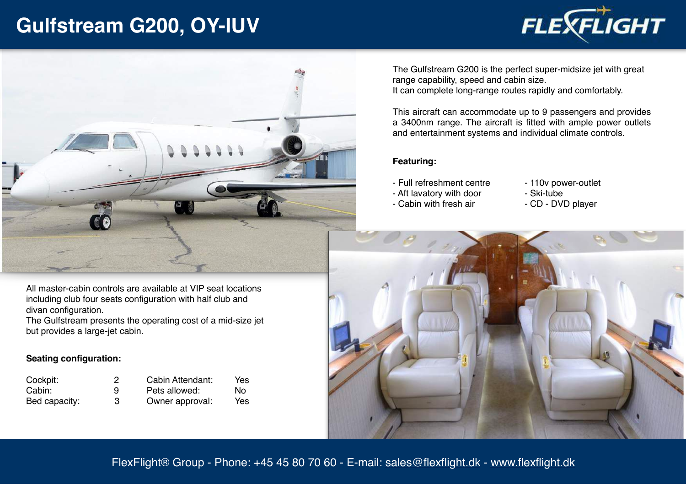## **Gulfstream G200, OY-IUV**





All master-cabin controls are available at VIP seat locations including club four seats configuration with half club and divan configuration.

The Gulfstream presents the operating cost of a mid-size jet but provides a large-jet cabin.

## **Seating configuration:**

| Cockpit:      |   | Cabin Attendant: | Yes |
|---------------|---|------------------|-----|
| Cabin:        | 9 | Pets allowed:    | Nο  |
| Bed capacity: | З | Owner approval:  | Yes |

The Gulfstream G200 is the perfect super-midsize jet with great range capability, speed and cabin size. It can complete long-range routes rapidly and comfortably.

This aircraft can accommodate up to 9 passengers and provides a 3400nm range. The aircraft is fitted with ample power outlets and entertainment systems and individual climate controls.

## **Featuring:**

- Full refreshment centre - Aft lavatory with door
- 110v power-outlet - Ski-tube
	-
- Cabin with fresh air
- CD DVD player



FlexFlight® Group - Phone: +45 45 80 70 60 - E-mail: [sales@flexflight.dk](mailto:sales@flexflight.dk) - [www.flexflight.dk](http://www.flexflight.dk)